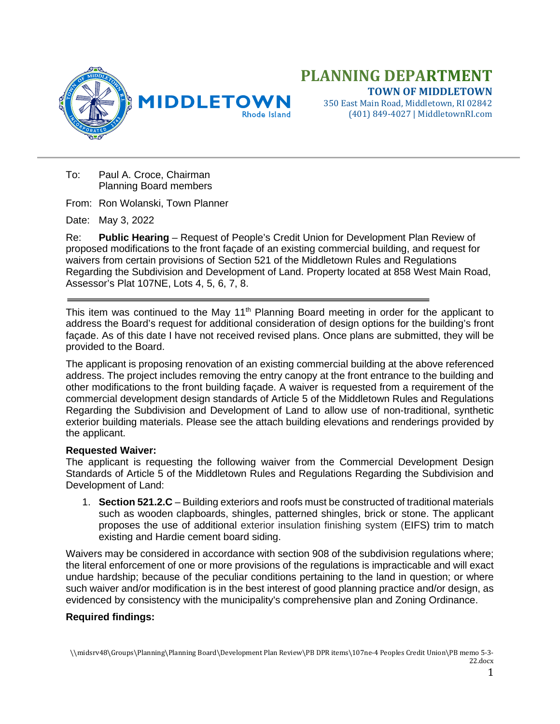



350 East Main Road, Middletown, RI 02842 (401) 849-4027 | MiddletownRI.com

To: Paul A. Croce, Chairman Planning Board members

From: Ron Wolanski, Town Planner

Date: May 3, 2022

Re: **Public Hearing** – Request of People's Credit Union for Development Plan Review of proposed modifications to the front façade of an existing commercial building, and request for waivers from certain provisions of Section 521 of the Middletown Rules and Regulations Regarding the Subdivision and Development of Land. Property located at 858 West Main Road, Assessor's Plat 107NE, Lots 4, 5, 6, 7, 8.

This item was continued to the May 11<sup>th</sup> Planning Board meeting in order for the applicant to address the Board's request for additional consideration of design options for the building's front façade. As of this date I have not received revised plans. Once plans are submitted, they will be provided to the Board.

The applicant is proposing renovation of an existing commercial building at the above referenced address. The project includes removing the entry canopy at the front entrance to the building and other modifications to the front building façade. A waiver is requested from a requirement of the commercial development design standards of Article 5 of the Middletown Rules and Regulations Regarding the Subdivision and Development of Land to allow use of non-traditional, synthetic exterior building materials. Please see the attach building elevations and renderings provided by the applicant.

## **Requested Waiver:**

The applicant is requesting the following waiver from the Commercial Development Design Standards of Article 5 of the Middletown Rules and Regulations Regarding the Subdivision and Development of Land:

1. **Section 521.2.C** – Building exteriors and roofs must be constructed of traditional materials such as wooden clapboards, shingles, patterned shingles, brick or stone. The applicant proposes the use of additional exterior insulation finishing system (EIFS) trim to match existing and Hardie cement board siding.

Waivers may be considered in accordance with section 908 of the subdivision regulations where; the literal enforcement of one or more provisions of the regulations is impracticable and will exact undue hardship; because of the peculiar conditions pertaining to the land in question; or where such waiver and/or modification is in the best interest of good planning practice and/or design, as evidenced by consistency with the municipality's comprehensive plan and Zoning Ordinance.

## **Required findings:**